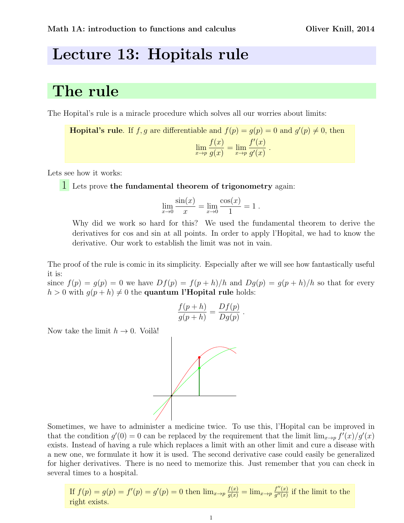## Lecture 13: Hopitals rule

## The rule

The Hopital's rule is a miracle procedure which solves all our worries about limits:

**Hopital's rule**. If f, g are differentiable and  $f(p) = g(p) = 0$  and  $g'(p) \neq 0$ , then  $\lim_{x\to p}$  $f(x)$  $\frac{f(x)}{g(x)} = \lim_{x \to p}$  $f'(x)$  $g'(x)$ .

Lets see how it works:

1 Lets prove the fundamental theorem of trigonometry again:

$$
\lim_{x \to 0} \frac{\sin(x)}{x} = \lim_{x \to 0} \frac{\cos(x)}{1} = 1.
$$

Why did we work so hard for this? We used the fundamental theorem to derive the derivatives for cos and sin at all points. In order to apply l'Hopital, we had to know the derivative. Our work to establish the limit was not in vain.

The proof of the rule is comic in its simplicity. Especially after we will see how fantastically useful it is:

since  $f(p) = g(p) = 0$  we have  $Df(p) = f(p+h)/h$  and  $Dg(p) = g(p+h)/h$  so that for every  $h > 0$  with  $g(p+h) \neq 0$  the quantum l'Hopital rule holds:

$$
\frac{f(p+h)}{g(p+h)} = \frac{Df(p)}{Dg(p)}.
$$

Now take the limit  $h \to 0$ . Voilà!



Sometimes, we have to administer a medicine twice. To use this, l'Hopital can be improved in that the condition  $g'(0) = 0$  can be replaced by the requirement that the limit  $\lim_{x\to p} f'(x)/g'(x)$ exists. Instead of having a rule which replaces a limit with an other limit and cure a disease with a new one, we formulate it how it is used. The second derivative case could easily be generalized for higher derivatives. There is no need to memorize this. Just remember that you can check in several times to a hospital.

If 
$$
f(p) = g(p) = f'(p) = g'(p) = 0
$$
 then  $\lim_{x \to p} \frac{f(x)}{g(x)} = \lim_{x \to p} \frac{f''(x)}{g''(x)}$  if the limit to the right exists.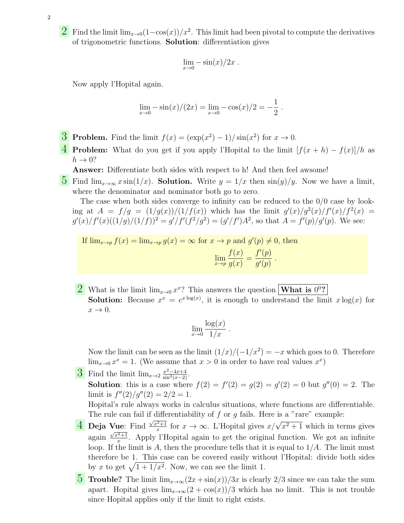- 2
- 2 Find the limit lim<sub>x→0</sub>(1-cos(x))/x<sup>2</sup>. This limit had been pivotal to compute the derivatives of trigonometric functions. Solution: differentiation gives

$$
\lim_{x \to 0} -\sin(x)/2x.
$$

Now apply l'Hopital again.

$$
\lim_{x \to 0} -\sin(x)/(2x) = \lim_{x \to 0} -\cos(x)/2 = -\frac{1}{2}.
$$

- **3** Problem. Find the limit  $f(x) = (\exp(x^2) 1)/\sin(x^2)$  for  $x \to 0$ .
- **4** Problem: What do you get if you apply l'Hopital to the limit  $[f(x+h) f(x)]/h$  as  $h \rightarrow 0?$

Answer: Differentiate both sides with respect to h! And then feel awsome!

5 Find  $\lim_{x\to\infty} x \sin(1/x)$ . Solution. Write  $y = 1/x$  then  $\sin(y)/y$ . Now we have a limit, where the denominator and nominator both go to zero.

The case when both sides converge to infinity can be reduced to the 0/0 case by looking at  $A = f/g = (1/g(x))/(1/f(x))$  which has the limit  $g'(x)/g^2(x)/f'(x)/f^2(x)$  $g'(x)/f'(x)((1/g)/(1/f))^2 = g'/f'(f^2/g^2) = (g'/f')A^2$ , so that  $A = f'(p)/g'(p)$ . We see:

If 
$$
\lim_{x \to p} f(x) = \lim_{x \to p} g(x) = \infty
$$
 for  $x \to p$  and  $g'(p) \neq 0$ , then  

$$
\lim_{x \to p} \frac{f(x)}{g(x)} = \frac{f'(p)}{g'(p)}.
$$

2 What is the limit  $\lim_{x\to 0} x^x$ ? This answers the question **What is**  $0^0$ ? **Solution:** Because  $x^x = e^{x \log(x)}$ , it is enough to understand the limit  $x \log(x)$  for  $x \rightarrow 0$ .

$$
\lim_{x \to 0} \frac{\log(x)}{1/x} .
$$

Now the limit can be seen as the limit  $\frac{1}{x}\left(\frac{1}{x}\right)\left(-\frac{1}{x^2}\right) = -x$  which goes to 0. Therefore  $\lim_{x\to 0} x^x = 1$ . (We assume that  $x > 0$  in order to have real values  $x^x$ )

**3** Find the limit  $\lim_{x\to 2} \frac{x^2-4x+4}{\sin^2(x-2)}$  $\frac{x^2-4x+4}{\sin^2(x-2)}$ . **Solution**: this is a case where  $f(2) = f'(2) = g(2) = g'(2) = 0$  but  $g''(0) = 2$ . The limit is  $f''(2)/g''(2) = 2/2 = 1$ . Hopital's rule always works in calculus situations, where functions are differentiable.

The rule can fail if differentiability of f or q fails. Here is a "rare" example:

- 4 Deja Vue: Find  $\frac{\sqrt{x^2+1}}{x}$ Where Find  $\frac{\sqrt{x^2+1}}{x}$  for  $x \to \infty$ . L'Hopital gives  $x/\sqrt{x^2+1}$  which in terms gives again  $\frac{\sqrt{x^2+1}}{x}$  $\frac{x^2+1}{x}$ . Apply l'Hopital again to get the original function. We got an infinite loop. If the limit is A, then the procedure tells that it is equal to  $1/A$ . The limit must therefore be 1. This case can be covered easily without l'Hopital: divide both sides by x to get  $\sqrt{1 + 1/x^2}$ . Now, we can see the limit 1.
- **5** Trouble? The limit  $\lim_{x\to\infty}(2x + \sin(x))/3x$  is clearly 2/3 since we can take the sum apart. Hopital gives  $\lim_{x\to\infty}(2+\cos(x))/3$  which has no limit. This is not trouble since Hopital applies only if the limit to right exists.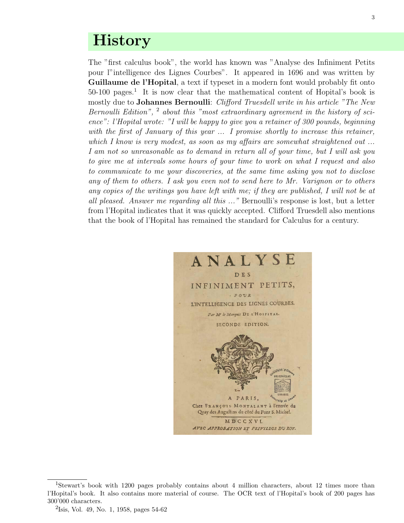## **History**

The "first calculus book", the world has known was "Analyse des Infiniment Petits pour l"intelligence des Lignes Courbes". It appeared in 1696 and was written by Guillaume de l'Hopital, a text if typeset in a modern font would probably fit onto 50-100 pages.<sup>1</sup> It is now clear that the mathematical content of Hopital's book is mostly due to Johannes Bernoulli: Clifford Truesdell write in his article "The New Bernoulli Edition", <sup>2</sup> about this "most extraordinary agreement in the history of science": l'Hopital wrote: "I will be happy to give you a retainer of 300 pounds, beginning with the first of January of this year ... I promise shortly to increase this retainer, which I know is very modest, as soon as my affairs are somewhat straightened out ... I am not so unreasonable as to demand in return all of your time, but I will ask you to give me at intervals some hours of your time to work on what I request and also to communicate to me your discoveries, at the same time asking you not to disclose any of them to others. I ask you even not to send here to Mr. Varignon or to others any copies of the writings you have left with me; if they are published, I will not be at all pleased. Answer me regarding all this ..." Bernoulli's response is lost, but a letter from l'Hopital indicates that it was quickly accepted. Clifford Truesdell also mentions that the book of l'Hopital has remained the standard for Calculus for a century.



<sup>1</sup>Stewart's book with 1200 pages probably contains about 4 million characters, about 12 times more than l'Hopital's book. It also contains more material of course. The OCR text of l'Hopital's book of 200 pages has 300'000 characters.

<sup>&</sup>lt;sup>2</sup>Isis, Vol. 49, No. 1, 1958, pages 54-62